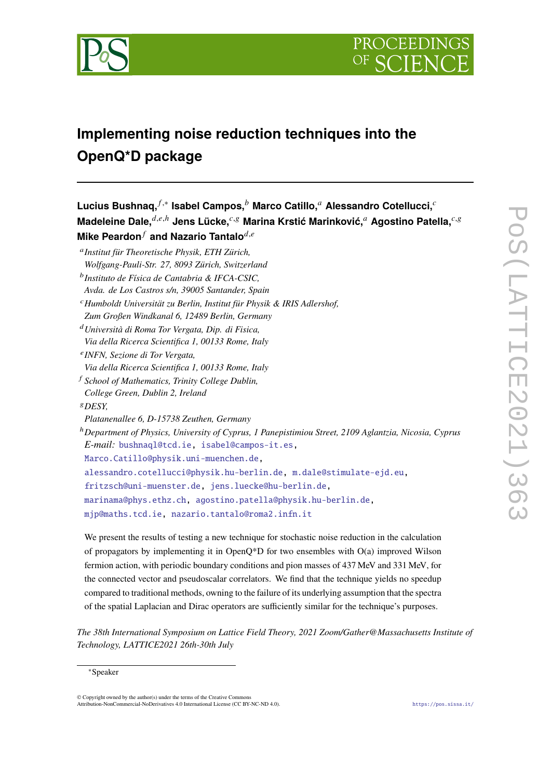



# **Implementing noise reduction techniques into the OpenQ\*D package**

 $\mathsf{Lucius~Bushnaq,}^{f,*}$  Isabel Campos, $^b$  Marco Catillo,<sup>α</sup> Alessandro Cotellucci,<sup>∂</sup> **Madeleine Dale,** $d,e,h$  Jens Lücke, $c,g$  Marina Krstić Marinković, $a$  Agostino Patella, $c,g$ **Mike Peardon**<sup>*f*</sup> and Nazario Tantalo<sup> $d,e$ </sup> 𝑎 *Institut für Theoretische Physik, ETH Zürich, Wolfgang-Pauli-Str. 27, 8093 Zürich, Switzerland* 𝑏 *Instituto de Física de Cantabria & IFCA-CSIC, Avda. de Los Castros s/n, 39005 Santander, Spain* <sup>𝑐</sup>*Humboldt Universität zu Berlin, Institut für Physik & IRIS Adlershof, Zum Großen Windkanal 6, 12489 Berlin, Germany* <sup>𝑑</sup>*Università di Roma Tor Vergata, Dip. di Fisica, Via della Ricerca Scientifica 1, 00133 Rome, Italy* 𝑒 *INFN, Sezione di Tor Vergata, Via della Ricerca Scientifica 1, 00133 Rome, Italy* <sup>𝑓</sup> *School of Mathematics, Trinity College Dublin, College Green, Dublin 2, Ireland* <sup>𝑔</sup>*DESY, Platanenallee 6, D-15738 Zeuthen, Germany* <sup>ℎ</sup>*Department of Physics, University of Cyprus, 1 Panepistimiou Street, 2109 Aglantzia, Nicosia, Cyprus E-mail:* [bushnaql@tcd.ie,](mailto:bushnaql@tcd.ie) [isabel@campos-it.es,](mailto:isabel@campos-it.es) [Marco.Catillo@physik.uni-muenchen.de,](mailto:Marco.Catillo@physik.uni-muenchen.de) [alessandro.cotellucci@physik.hu-berlin.de,](mailto:alessandro.cotellucci@physik.hu-berlin.de) [m.dale@stimulate-ejd.eu,](mailto:m.dale@stimulate-ejd.eu) [fritzsch@uni-muenster.de,](mailto:fritzsch@uni-muenster.de) [jens.luecke@hu-berlin.de,](mailto:jens.luecke@hu-berlin.de) [marinama@phys.ethz.ch,](mailto:marinama@phys.ethz.ch) [agostino.patella@physik.hu-berlin.de,](mailto:agostino.patella@physik.hu-berlin.de) [mjp@maths.tcd.ie,](mailto:mjp@maths.tcd.ie) [nazario.tantalo@roma2.infn.it](mailto:nazario.tantalo@roma2.infn.it)

We present the results of testing a new technique for stochastic noise reduction in the calculation of propagators by implementing it in OpenQ\*D for two ensembles with O(a) improved Wilson fermion action, with periodic boundary conditions and pion masses of 437 MeV and 331 MeV, for the connected vector and pseudoscalar correlators. We find that the technique yields no speedup compared to traditional methods, owning to the failure of its underlying assumption that the spectra of the spatial Laplacian and Dirac operators are sufficiently similar for the technique's purposes.

*The 38th International Symposium on Lattice Field Theory, 2021 Zoom/Gather@Massachusetts Institute of Technology, LATTICE2021 26th-30th July*

© Copyright owned by the author(s) under the terms of the Creative Commons Attribution-NonCommercial-NoDerivatives 4.0 International License (CC BY-NC-ND 4.0). <https://pos.sissa.it/>

<sup>∗</sup>Speaker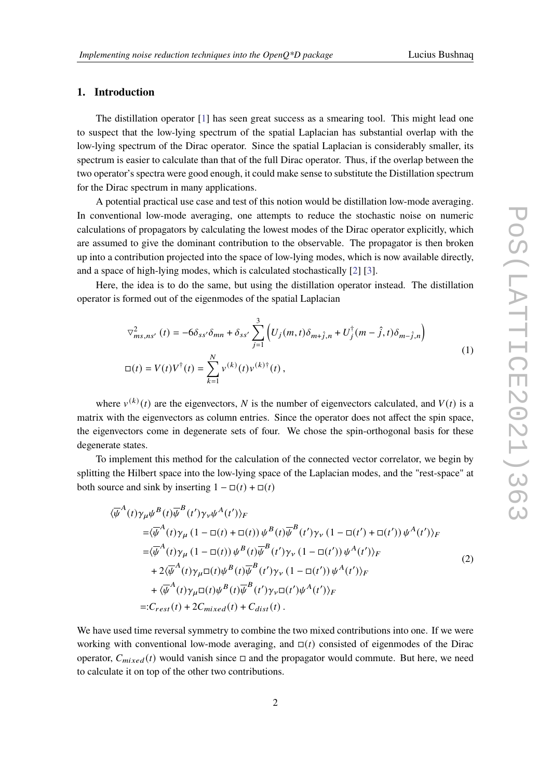# **1. Introduction**

The distillation operator [\[1\]](#page-7-0) has seen great success as a smearing tool. This might lead one to suspect that the low-lying spectrum of the spatial Laplacian has substantial overlap with the low-lying spectrum of the Dirac operator. Since the spatial Laplacian is considerably smaller, its spectrum is easier to calculate than that of the full Dirac operator. Thus, if the overlap between the two operator's spectra were good enough, it could make sense to substitute the Distillation spectrum for the Dirac spectrum in many applications.

A potential practical use case and test of this notion would be distillation low-mode averaging. In conventional low-mode averaging, one attempts to reduce the stochastic noise on numeric calculations of propagators by calculating the lowest modes of the Dirac operator explicitly, which are assumed to give the dominant contribution to the observable. The propagator is then broken up into a contribution projected into the space of low-lying modes, which is now available directly, and a space of high-lying modes, which is calculated stochastically [\[2\]](#page-7-1) [\[3\]](#page-7-2).

Here, the idea is to do the same, but using the distillation operator instead. The distillation operator is formed out of the eigenmodes of the spatial Laplacian

$$
\nabla_{ms,ns'}^{2}(t) = -6\delta_{ss'}\delta_{mn} + \delta_{ss'} \sum_{j=1}^{3} \left( U_j(m,t)\delta_{m+j,n} + U_j^{\dagger}(m-\hat{j},t)\delta_{m-j,n} \right)
$$
  

$$
\Box(t) = V(t)V^{\dagger}(t) = \sum_{k=1}^{N} v^{(k)}(t)v^{(k)\dagger}(t),
$$
 (1)

where  $v^{(k)}(t)$  are the eigenvectors, N is the number of eigenvectors calculated, and  $V(t)$  is a matrix with the eigenvectors as column entries. Since the operator does not affect the spin space, the eigenvectors come in degenerate sets of four. We chose the spin-orthogonal basis for these degenerate states.

To implement this method for the calculation of the connected vector correlator, we begin by splitting the Hilbert space into the low-lying space of the Laplacian modes, and the "rest-space" at both source and sink by inserting  $1 - \Box(t) + \Box(t)$ 

$$
\langle \overline{\psi}^{A}(t)\gamma_{\mu}\psi^{B}(t)\overline{\psi}^{B}(t')\gamma_{\nu}\psi^{A}(t')\rangle_{F}
$$
\n
$$
= \langle \overline{\psi}^{A}(t)\gamma_{\mu} (1 - \Box(t) + \Box(t)) \psi^{B}(t)\overline{\psi}^{B}(t')\gamma_{\nu} (1 - \Box(t') + \Box(t')) \psi^{A}(t')\rangle_{F}
$$
\n
$$
= \langle \overline{\psi}^{A}(t)\gamma_{\mu} (1 - \Box(t)) \psi^{B}(t)\overline{\psi}^{B}(t')\gamma_{\nu} (1 - \Box(t')) \psi^{A}(t')\rangle_{F}
$$
\n
$$
+ 2\langle \overline{\psi}^{A}(t)\gamma_{\mu}\Box(t)\psi^{B}(t)\overline{\psi}^{B}(t')\gamma_{\nu} (1 - \Box(t')) \psi^{A}(t')\rangle_{F}
$$
\n
$$
+ \langle \overline{\psi}^{A}(t)\gamma_{\mu}\Box(t)\psi^{B}(t)\overline{\psi}^{B}(t')\gamma_{\nu}\Box(t')\psi^{A}(t')\rangle_{F}
$$
\n
$$
=: C_{rest}(t) + 2C_{mixed}(t) + C_{dist}(t).
$$
\n(2)

We have used time reversal symmetry to combine the two mixed contributions into one. If we were working with conventional low-mode averaging, and  $\Box(t)$  consisted of eigenmodes of the Dirac operator,  $C_{mixed}(t)$  would vanish since  $\Box$  and the propagator would commute. But here, we need to calculate it on top of the other two contributions.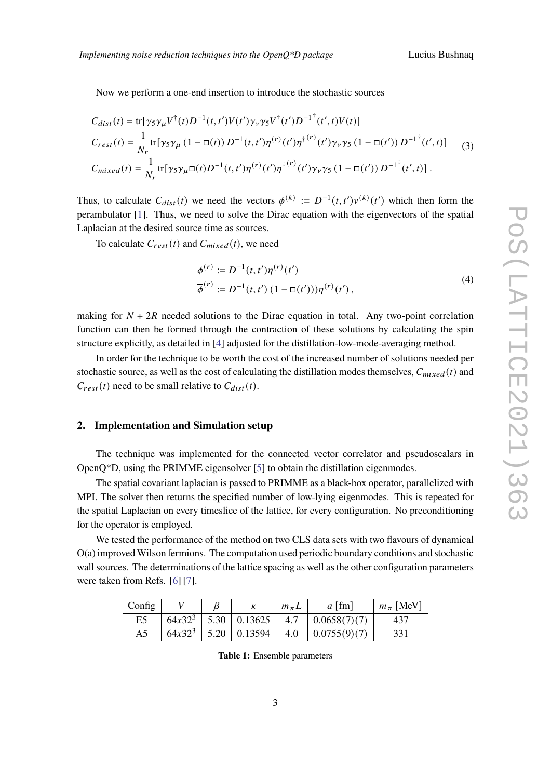Now we perform a one-end insertion to introduce the stochastic sources

$$
C_{dist}(t) = \text{tr}[\gamma_5 \gamma_\mu V^\dagger(t) D^{-1}(t, t') V(t') \gamma_\nu \gamma_5 V^\dagger(t') D^{-1^\dagger}(t', t) V(t)]
$$
  
\n
$$
C_{rest}(t) = \frac{1}{N_r} \text{tr}[\gamma_5 \gamma_\mu (1 - \Box(t)) D^{-1}(t, t') \eta^{(r)}(t') \eta^{\dagger (r)}(t') \gamma_\nu \gamma_5 (1 - \Box(t')) D^{-1^\dagger}(t', t)]
$$
  
\n
$$
C_{mixed}(t) = \frac{1}{N_r} \text{tr}[\gamma_5 \gamma_\mu \Box(t) D^{-1}(t, t') \eta^{(r)}(t') \eta^{\dagger (r)}(t') \gamma_\nu \gamma_5 (1 - \Box(t')) D^{-1^\dagger}(t', t)].
$$
\n(3)

Thus, to calculate  $C_{dist}(t)$  we need the vectors  $\phi^{(k)} := D^{-1}(t,t')v^{(k)}(t')$  which then form the perambulator [\[1\]](#page-7-0). Thus, we need to solve the Dirac equation with the eigenvectors of the spatial Laplacian at the desired source time as sources.

To calculate  $C_{rest}(t)$  and  $C_{mixed}(t)$ , we need

$$
\begin{aligned} \phi^{(r)} &:= D^{-1}(t, t')\eta^{(r)}(t') \\ \overline{\phi}^{(r)} &:= D^{-1}(t, t') \left(1 - \mathbb{Q}(t')\right) \eta^{(r)}(t') \,, \end{aligned} \tag{4}
$$

making for  $N + 2R$  needed solutions to the Dirac equation in total. Any two-point correlation function can then be formed through the contraction of these solutions by calculating the spin structure explicitly, as detailed in [\[4\]](#page-7-3) adjusted for the distillation-low-mode-averaging method.

In order for the technique to be worth the cost of the increased number of solutions needed per stochastic source, as well as the cost of calculating the distillation modes themselves,  $C_{mixed}(t)$  and  $C_{rest}(t)$  need to be small relative to  $C_{dist}(t)$ .

#### **2. Implementation and Simulation setup**

The technique was implemented for the connected vector correlator and pseudoscalars in OpenQ\*D, using the PRIMME eigensolver [\[5\]](#page-7-4) to obtain the distillation eigenmodes.

The spatial covariant laplacian is passed to PRIMME as a black-box operator, parallelized with MPI. The solver then returns the specified number of low-lying eigenmodes. This is repeated for the spatial Laplacian on every timeslice of the lattice, for every configuration. No preconditioning for the operator is employed.

We tested the performance of the method on two CLS data sets with two flavours of dynamical O(a) improved Wilson fermions. The computation used periodic boundary conditions and stochastic wall sources. The determinations of the lattice spacing as well as the other configuration parameters were taken from Refs. [\[6\]](#page-7-5) [\[7\]](#page-7-6).

|  |  | Config $V$ $\beta$ $\kappa$ $m_{\pi}L$ $a$ [fm]                                        | $m_\pi$ [MeV] |
|--|--|----------------------------------------------------------------------------------------|---------------|
|  |  | E5 $\begin{vmatrix} 64x32^3 & 5.30 & 0.13625 & 4.7 & 0.0658(7)(7) & 437 \end{vmatrix}$ |               |
|  |  | A5 $\begin{bmatrix} 64x32^3 & 5.20 & 0.13594 & 4.0 & 0.0755(9)(7) \end{bmatrix}$       | 331           |

**Table 1:** Ensemble parameters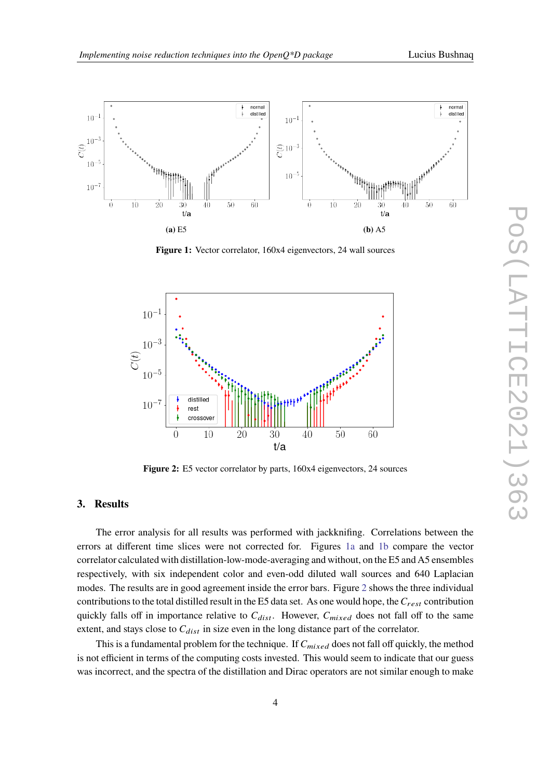<span id="page-3-0"></span>

**Figure 1:** Vector correlator, 160x4 eigenvectors, 24 wall sources

<span id="page-3-1"></span>

**Figure 2:** E5 vector correlator by parts, 160x4 eigenvectors, 24 sources

# **3. Results**

The error analysis for all results was performed with jackknifing. Correlations between the errors at different time slices were not corrected for. Figures [1a](#page-3-0) and [1b](#page-3-0) compare the vector correlator calculated with distillation-low-mode-averaging and without, on the E5 and A5 ensembles respectively, with six independent color and even-odd diluted wall sources and 640 Laplacian modes. The results are in good agreement inside the error bars. Figure [2](#page-3-1) shows the three individual contributions to the total distilled result in the E5 data set. As one would hope, the  $C_{rest}$  contribution quickly falls off in importance relative to  $C_{dist}$ . However,  $C_{mixed}$  does not fall off to the same extent, and stays close to  $C_{dist}$  in size even in the long distance part of the correlator.

This is a fundamental problem for the technique. If  $C_{mixed}$  does not fall off quickly, the method is not efficient in terms of the computing costs invested. This would seem to indicate that our guess was incorrect, and the spectra of the distillation and Dirac operators are not similar enough to make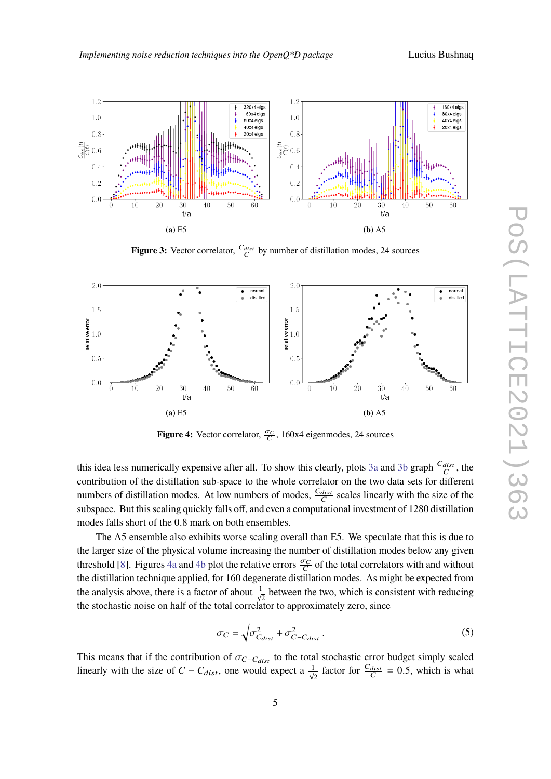<span id="page-4-0"></span>

**Figure 3:** Vector correlator,  $\frac{C_{dist}}{C}$  by number of distillation modes, 24 sources

<span id="page-4-1"></span>

**Figure 4:** Vector correlator,  $\frac{\sigma_C}{C}$ , 160x4 eigenmodes, 24 sources

this idea less numerically expensive after all. To show this clearly, plots [3a](#page-4-0) and [3b](#page-4-0) graph  $\frac{C_{dist}}{C}$ , the contribution of the distillation sub-space to the whole correlator on the two data sets for different numbers of distillation modes. At low numbers of modes,  $\frac{C_{dist}}{C}$  scales linearly with the size of the subspace. But this scaling quickly falls off, and even a computational investment of 1280 distillation modes falls short of the 0.8 mark on both ensembles.

The A5 ensemble also exhibits worse scaling overall than E5. We speculate that this is due to the larger size of the physical volume increasing the number of distillation modes below any given threshold [\[8\]](#page-7-7). Figures [4a](#page-4-1) and [4b](#page-4-1) plot the relative errors  $\frac{\sigma_C}{C}$  of the total correlators with and without the distillation technique applied, for 160 degenerate distillation modes. As might be expected from the analysis above, there is a factor of about  $\frac{1}{\sqrt{2}}$  between the two, which is consistent with reducing the stochastic noise on half of the total correlator to approximately zero, since

$$
\sigma_C = \sqrt{\sigma_{C_{dist}}^2 + \sigma_{C-C_{dist}}^2} \,. \tag{5}
$$

This means that if the contribution of  $\sigma_{C-C_{dist}}$  to the total stochastic error budget simply scaled linearly with the size of  $C - C_{dist}$ , one would expect a  $\frac{1}{\sqrt{2}}$  factor for  $\frac{C_{dist}}{C} = 0.5$ , which is what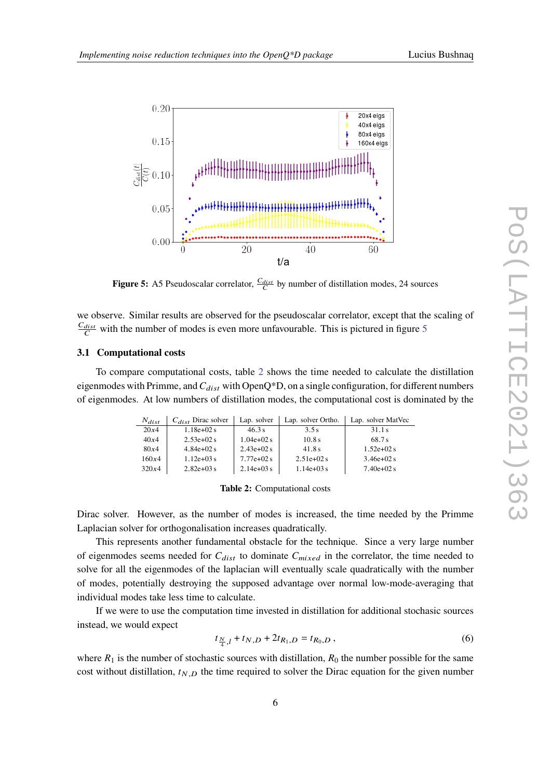<span id="page-5-0"></span>

**Figure 5:** A5 Pseudoscalar correlator,  $\frac{C_{dist}}{C}$  by number of distillation modes, 24 sources

we observe. Similar results are observed for the pseudoscalar correlator, except that the scaling of  $\frac{C_{dist}}{C}$  with the number of modes is even more unfavourable. This is pictured in figure [5](#page-5-0)

#### **3.1 Computational costs**

<span id="page-5-1"></span>To compare computational costs, table [2](#page-5-1) shows the time needed to calculate the distillation eigenmodes with Primme, and  $C_{dist}$  with OpenQ\*D, on a single configuration, for different numbers of eigenmodes. At low numbers of distillation modes, the computational cost is dominated by the

| $N_{dist}$ | $C_{dist}$ Dirac solver | Lap. solver | Lap. solver Ortho. | Lap. solver MatVec |
|------------|-------------------------|-------------|--------------------|--------------------|
| 20x4       | $1.18e+02s$             | 46.3 s      | 3.5s               | 31.1s              |
| 40x4       | $2.53e+02s$             | $1.04e+02s$ | 10.8s              | 68.7 s             |
| 80x4       | $4.84e+02s$             | $2.43e+02s$ | 41.8 s             | $1.52e+02s$        |
| 160x4      | $1.12e+0.3s$            | $7.77e+02s$ | $2.51e+02s$        | $3.46e + 02s$      |
| 320x4      | $2.82e+03s$             | $2.14e+03s$ | $1.14e + 03s$      | $7.40e+02 s$       |

|  | Table 2: Computational costs |  |
|--|------------------------------|--|
|--|------------------------------|--|

Dirac solver. However, as the number of modes is increased, the time needed by the Primme Laplacian solver for orthogonalisation increases quadratically.

This represents another fundamental obstacle for the technique. Since a very large number of eigenmodes seems needed for  $C_{dist}$  to dominate  $C_{mixed}$  in the correlator, the time needed to solve for all the eigenmodes of the laplacian will eventually scale quadratically with the number of modes, potentially destroying the supposed advantage over normal low-mode-averaging that individual modes take less time to calculate.

If we were to use the computation time invested in distillation for additional stochasic sources instead, we would expect

$$
t_{\frac{N}{4},l} + t_{N,D} + 2t_{R_1,D} = t_{R_0,D},
$$
\n(6)

where  $R_1$  is the number of stochastic sources with distillation,  $R_0$  the number possible for the same cost without distillation,  $t_{N,D}$  the time required to solver the Dirac equation for the given number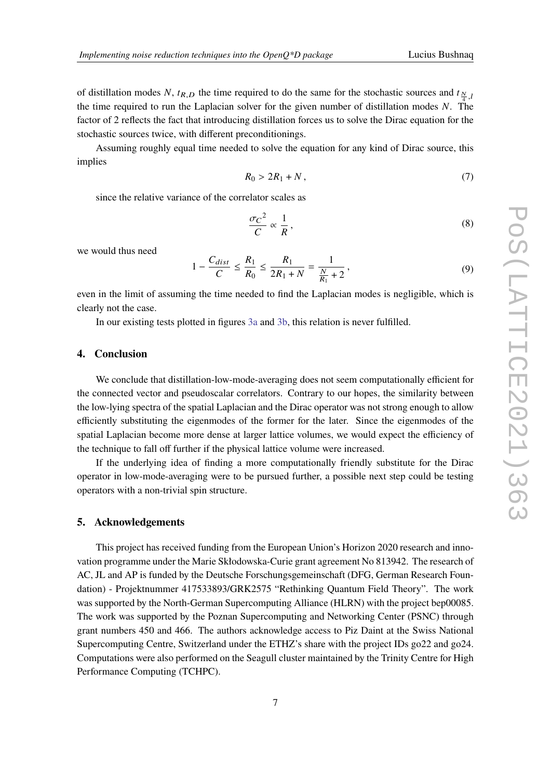of distillation modes N,  $t_{R,D}$  the time required to do the same for the stochastic sources and  $t_{\frac{N}{2},l}$ the time required to run the Laplacian solver for the given number of distillation modes  $N$ . The factor of 2 reflects the fact that introducing distillation forces us to solve the Dirac equation for the stochastic sources twice, with different preconditionings.

Assuming roughly equal time needed to solve the equation for any kind of Dirac source, this implies

$$
R_0 > 2R_1 + N, \tag{7}
$$

since the relative variance of the correlator scales as

$$
\frac{\sigma_C^2}{C} \propto \frac{1}{R},\tag{8}
$$

we would thus need

$$
1 - \frac{C_{dist}}{C} \le \frac{R_1}{R_0} \le \frac{R_1}{2R_1 + N} = \frac{1}{\frac{N}{R_1} + 2},\tag{9}
$$

even in the limit of assuming the time needed to find the Laplacian modes is negligible, which is clearly not the case.

In our existing tests plotted in figures [3a](#page-4-0) and [3b,](#page-4-0) this relation is never fulfilled.

#### **4. Conclusion**

We conclude that distillation-low-mode-averaging does not seem computationally efficient for the connected vector and pseudoscalar correlators. Contrary to our hopes, the similarity between the low-lying spectra of the spatial Laplacian and the Dirac operator was not strong enough to allow efficiently substituting the eigenmodes of the former for the later. Since the eigenmodes of the spatial Laplacian become more dense at larger lattice volumes, we would expect the efficiency of the technique to fall off further if the physical lattice volume were increased.

If the underlying idea of finding a more computationally friendly substitute for the Dirac operator in low-mode-averaging were to be pursued further, a possible next step could be testing operators with a non-trivial spin structure.

## **5. Acknowledgements**

This project has received funding from the European Union's Horizon 2020 research and innovation programme under the Marie Skłodowska-Curie grant agreement No 813942. The research of AC, JL and AP is funded by the Deutsche Forschungsgemeinschaft (DFG, German Research Foundation) - Projektnummer 417533893/GRK2575 "Rethinking Quantum Field Theory". The work was supported by the North-German Supercomputing Alliance (HLRN) with the project bep00085. The work was supported by the Poznan Supercomputing and Networking Center (PSNC) through grant numbers 450 and 466. The authors acknowledge access to Piz Daint at the Swiss National Supercomputing Centre, Switzerland under the ETHZ's share with the project IDs go22 and go24. Computations were also performed on the Seagull cluster maintained by the Trinity Centre for High Performance Computing (TCHPC).